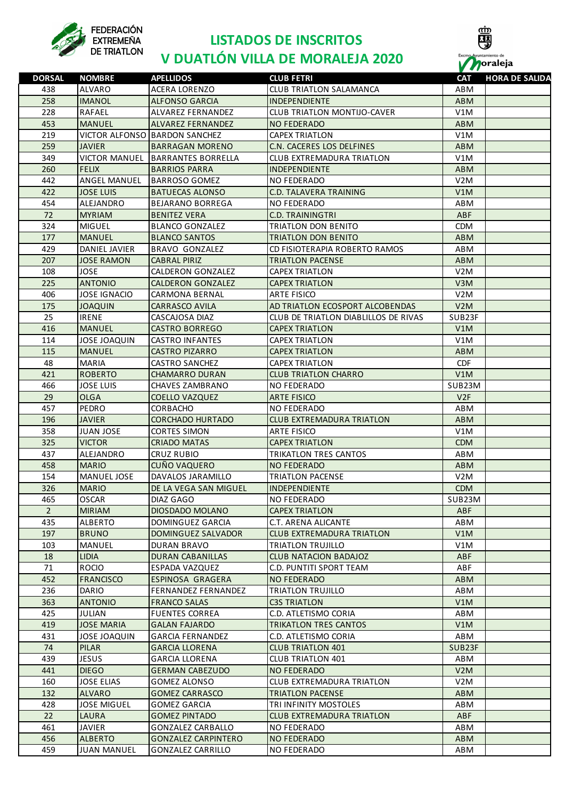

### **LISTADOS DE INSCRITOS**



## **FEDERACIÓN LISTADOS DE INSCRITOS**<br>DE TRIATLON **DUATLÓN VILLA DE MORALEJA 2020**

| <b>DORSAL</b>  | <b>NOMBRE</b>        | <b>APELLIDOS</b>              | <b>CLUB FETRI</b>                    | <b>CAT</b>       | <b>HORA DE SALIDA</b> |
|----------------|----------------------|-------------------------------|--------------------------------------|------------------|-----------------------|
| 438            | ALVARO               | <b>ACERA LORENZO</b>          | <b>CLUB TRIATLON SALAMANCA</b>       | ABM              |                       |
| 258            | <b>IMANOL</b>        | <b>ALFONSO GARCIA</b>         | <b>INDEPENDIENTE</b>                 | <b>ABM</b>       |                       |
| 228            | RAFAEL               | ALVAREZ FERNANDEZ             | <b>CLUB TRIATLON MONTIJO-CAVER</b>   | V1M              |                       |
| 453            | <b>MANUEL</b>        | ALVAREZ FERNANDEZ             | <b>NO FEDERADO</b>                   | <b>ABM</b>       |                       |
| 219            |                      | VICTOR ALFONSO BARDON SANCHEZ | <b>CAPEX TRIATLON</b>                | V1M              |                       |
| 259            | <b>JAVIER</b>        | <b>BARRAGAN MORENO</b>        | C.N. CACERES LOS DELFINES            | <b>ABM</b>       |                       |
| 349            | <b>VICTOR MANUEL</b> | <b>BARRANTES BORRELLA</b>     | <b>CLUB EXTREMADURA TRIATLON</b>     | V1M              |                       |
| 260            | <b>FELIX</b>         | <b>BARRIOS PARRA</b>          | INDEPENDIENTE                        | <b>ABM</b>       |                       |
| 442            | ANGEL MANUEL         | <b>BARROSO GOMEZ</b>          | <b>NO FEDERADO</b>                   | V2M              |                       |
| 422            | <b>JOSE LUIS</b>     | <b>BATUECAS ALONSO</b>        | <b>C.D. TALAVERA TRAINING</b>        | V1M              |                       |
| 454            | ALEJANDRO            | <b>BEJARANO BORREGA</b>       | <b>NO FEDERADO</b>                   | ABM              |                       |
| 72             |                      |                               |                                      |                  |                       |
|                | <b>MYRIAM</b>        | <b>BENITEZ VERA</b>           | <b>C.D. TRAININGTRI</b>              | <b>ABF</b>       |                       |
| 324            | <b>MIGUEL</b>        | <b>BLANCO GONZALEZ</b>        | TRIATLON DON BENITO                  | <b>CDM</b>       |                       |
| 177            | <b>MANUEL</b>        | <b>BLANCO SANTOS</b>          | <b>TRIATLON DON BENITO</b>           | <b>ABM</b>       |                       |
| 429            | DANIEL JAVIER        | <b>BRAVO GONZALEZ</b>         | CD FISIOTERAPIA ROBERTO RAMOS        | <b>ABM</b>       |                       |
| 207            | <b>JOSE RAMON</b>    | <b>CABRAL PIRIZ</b>           | <b>TRIATLON PACENSE</b>              | <b>ABM</b>       |                       |
| 108            | <b>JOSE</b>          | CALDERON GONZALEZ             | <b>CAPEX TRIATLON</b>                | V2M              |                       |
| 225            | <b>ANTONIO</b>       | <b>CALDERON GONZALEZ</b>      | <b>CAPEX TRIATLON</b>                | V3M              |                       |
| 406            | <b>JOSE IGNACIO</b>  | <b>CARMONA BERNAL</b>         | <b>ARTE FISICO</b>                   | V <sub>2</sub> M |                       |
| 175            | <b>JOAQUIN</b>       | <b>CARRASCO AVILA</b>         | AD TRIATLON ECOSPORT ALCOBENDAS      | V2M              |                       |
| 25             | <b>IRENE</b>         | CASCAJOSA DIAZ                | CLUB DE TRIATLON DIABLILLOS DE RIVAS | SUB23F           |                       |
| 416            | <b>MANUEL</b>        | <b>CASTRO BORREGO</b>         | <b>CAPEX TRIATLON</b>                | V1M              |                       |
| 114            | <b>JOSE JOAQUIN</b>  | <b>CASTRO INFANTES</b>        | <b>CAPEX TRIATLON</b>                | V1M              |                       |
| 115            | <b>MANUEL</b>        | <b>CASTRO PIZARRO</b>         | <b>CAPEX TRIATLON</b>                | <b>ABM</b>       |                       |
| 48             | <b>MARIA</b>         | <b>CASTRO SANCHEZ</b>         | <b>CAPEX TRIATLON</b>                | <b>CDF</b>       |                       |
| 421            | <b>ROBERTO</b>       | <b>CHAMARRO DURAN</b>         | <b>CLUB TRIATLON CHARRO</b>          | V1M              |                       |
| 466            | <b>JOSE LUIS</b>     | <b>CHAVES ZAMBRANO</b>        | <b>NO FEDERADO</b>                   | SUB23M           |                       |
| 29             | <b>OLGA</b>          | <b>COELLO VAZQUEZ</b>         | <b>ARTE FISICO</b>                   | V2F              |                       |
| 457            | PEDRO                | <b>CORBACHO</b>               | <b>NO FEDERADO</b>                   | ABM              |                       |
| 196            | <b>JAVIER</b>        | <b>CORCHADO HURTADO</b>       | <b>CLUB EXTREMADURA TRIATLON</b>     | <b>ABM</b>       |                       |
| 358            | <b>JUAN JOSE</b>     | <b>CORTES SIMON</b>           | <b>ARTE FISICO</b>                   | V1M              |                       |
| 325            | <b>VICTOR</b>        | <b>CRIADO MATAS</b>           | <b>CAPEX TRIATLON</b>                | <b>CDM</b>       |                       |
| 437            | ALEJANDRO            | <b>CRUZ RUBIO</b>             | <b>TRIKATLON TRES CANTOS</b>         | ABM              |                       |
| 458            | <b>MARIO</b>         | <b>CUÑO VAQUERO</b>           | <b>NO FEDERADO</b>                   | <b>ABM</b>       |                       |
|                | <b>MANUEL JOSE</b>   |                               | <b>TRIATLON PACENSE</b>              | V2M              |                       |
| 154            |                      | DAVALOS JARAMILLO             |                                      |                  |                       |
| 326            | <b>MARIO</b>         | DE LA VEGA SAN MIGUEL         | INDEPENDIENTE                        | <b>CDM</b>       |                       |
| 465            | <b>OSCAR</b>         | DIAZ GAGO                     | NO FEDERADO                          | SUB23M           |                       |
| $\overline{2}$ | <b>MIRIAM</b>        | DIOSDADO MOLANO               | <b>CAPEX TRIATLON</b>                | ABF              |                       |
| 435            | <b>ALBERTO</b>       | DOMINGUEZ GARCIA              | C.T. ARENA ALICANTE                  | ABM              |                       |
| 197            | <b>BRUNO</b>         | DOMINGUEZ SALVADOR            | CLUB EXTREMADURA TRIATLON            | V1M              |                       |
| 103            | MANUEL               | <b>DURAN BRAVO</b>            | TRIATLON TRUJILLO                    | V1M              |                       |
| 18             | <b>LIDIA</b>         | DURAN CABANILLAS              | <b>CLUB NATACION BADAJOZ</b>         | <b>ABF</b>       |                       |
| 71             | <b>ROCIO</b>         | ESPADA VAZQUEZ                | C.D. PUNTITI SPORT TEAM              | ABF              |                       |
| 452            | <b>FRANCISCO</b>     | <b>ESPINOSA GRAGERA</b>       | <b>NO FEDERADO</b>                   | <b>ABM</b>       |                       |
| 236            | <b>DARIO</b>         | <b>FERNANDEZ FERNANDEZ</b>    | TRIATLON TRUJILLO                    | ABM              |                       |
| 363            | <b>ANTONIO</b>       | <b>FRANCO SALAS</b>           | <b>C3S TRIATLON</b>                  | V1M              |                       |
| 425            | <b>JULIAN</b>        | <b>FUENTES CORREA</b>         | C.D. ATLETISMO CORIA                 | ABM              |                       |
| 419            | <b>JOSE MARIA</b>    | <b>GALAN FAJARDO</b>          | <b>TRIKATLON TRES CANTOS</b>         | V1M              |                       |
| 431            | <b>JOSE JOAQUIN</b>  | <b>GARCIA FERNANDEZ</b>       | C.D. ATLETISMO CORIA                 | ABM              |                       |
| 74             | <b>PILAR</b>         | <b>GARCIA LLORENA</b>         | <b>CLUB TRIATLON 401</b>             | SUB23F           |                       |
| 439            | <b>JESUS</b>         | <b>GARCIA LLORENA</b>         | <b>CLUB TRIATLON 401</b>             | ABM              |                       |
| 441            | <b>DIEGO</b>         | <b>GERMAN CABEZUDO</b>        | <b>NO FEDERADO</b>                   | V2M              |                       |
| 160            | <b>JOSE ELIAS</b>    | <b>GOMEZ ALONSO</b>           | <b>CLUB EXTREMADURA TRIATLON</b>     | V2M              |                       |
| 132            | <b>ALVARO</b>        | <b>GOMEZ CARRASCO</b>         | <b>TRIATLON PACENSE</b>              | <b>ABM</b>       |                       |
| 428            | <b>JOSE MIGUEL</b>   | <b>GOMEZ GARCIA</b>           | TRI INFINITY MOSTOLES                | ABM              |                       |
| 22             | <b>LAURA</b>         | <b>GOMEZ PINTADO</b>          | <b>CLUB EXTREMADURA TRIATLON</b>     | <b>ABF</b>       |                       |
| 461            | JAVIER               | <b>GONZALEZ CARBALLO</b>      | NO FEDERADO                          | ABM              |                       |
| 456            | <b>ALBERTO</b>       | <b>GONZALEZ CARPINTERO</b>    | <b>NO FEDERADO</b>                   | <b>ABM</b>       |                       |
| 459            | <b>JUAN MANUEL</b>   | <b>GONZALEZ CARRILLO</b>      | NO FEDERADO                          | ABM              |                       |
|                |                      |                               |                                      |                  |                       |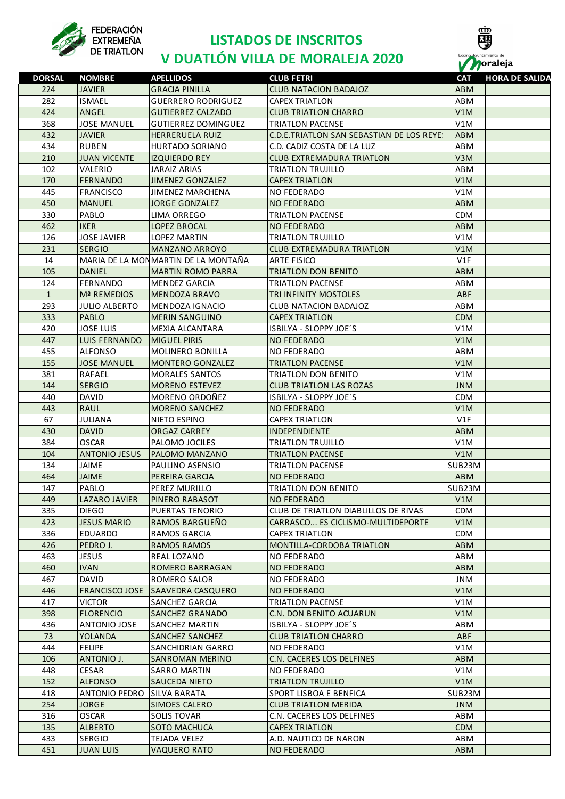

### **LISTADOS DE INSCRITOS**



# **V DUATLÓN VILLA DE MORALEJA 2020 PORTAGOS DE ENSEGALE EN EUROPE EN EUROPE EN EUROPE EN EUROPE EN EUROPE EN EUROPE EN EUROPE EN EUROPE EN EUROPE EN EN<br>DE TRIATLON <b>V DUATLÓN VILLA DE MORALEJA 2020** PORTAGOS POR EN

| <b>DORSAL</b> | <b>NOMBRE</b>        | <b>APELLIDOS</b>                    | <b>CLUB FETRI</b>                        | <b>CAT</b> | <b>HORA DE SALIDA</b> |
|---------------|----------------------|-------------------------------------|------------------------------------------|------------|-----------------------|
| 224           | <b>JAVIER</b>        | <b>GRACIA PINILLA</b>               | <b>CLUB NATACION BADAJOZ</b>             | <b>ABM</b> |                       |
| 282           | <b>ISMAEL</b>        | <b>GUERRERO RODRIGUEZ</b>           | <b>CAPEX TRIATLON</b>                    | ABM        |                       |
| 424           | ANGEL                | <b>GUTIERREZ CALZADO</b>            | <b>CLUB TRIATLON CHARRO</b>              | V1M        |                       |
| 368           | <b>JOSE MANUEL</b>   | <b>GUTIERREZ DOMINGUEZ</b>          | <b>TRIATLON PACENSE</b>                  | V1M        |                       |
| 432           | <b>JAVIER</b>        | <b>HERRERUELA RUIZ</b>              | C.D.E.TRIATLON SAN SEBASTIAN DE LOS REYE | <b>ABM</b> |                       |
| 434           | <b>RUBEN</b>         | HURTADO SORIANO                     | C.D. CADIZ COSTA DE LA LUZ               | ABM        |                       |
| 210           | <b>JUAN VICENTE</b>  | <b>IZQUIERDO REY</b>                | <b>CLUB EXTREMADURA TRIATLON</b>         | V3M        |                       |
| 102           | VALERIO              | <b>JARAIZ ARIAS</b>                 | <b>TRIATLON TRUJILLO</b>                 | ABM        |                       |
| 170           | <b>FERNANDO</b>      | <b>JIMENEZ GONZALEZ</b>             | <b>CAPEX TRIATLON</b>                    | V1M        |                       |
| 445           | <b>FRANCISCO</b>     | <b>JIMENEZ MARCHENA</b>             | <b>NO FEDERADO</b>                       | V1M        |                       |
| 450           | <b>MANUEL</b>        | JORGE GONZALEZ                      | <b>NO FEDERADO</b>                       | ABM        |                       |
| 330           | PABLO                | LIMA ORREGO                         | <b>TRIATLON PACENSE</b>                  | <b>CDM</b> |                       |
| 462           | <b>IKER</b>          | LOPEZ BROCAL                        | NO FEDERADO                              | ABM        |                       |
| 126           | <b>JOSE JAVIER</b>   | <b>LOPEZ MARTIN</b>                 | TRIATLON TRUJILLO                        | V1M        |                       |
| 231           | <b>SERGIO</b>        | <b>MANZANO ARROYO</b>               | <b>CLUB EXTREMADURA TRIATLON</b>         | V1M        |                       |
| 14            |                      | MARIA DE LA MONMARTIN DE LA MONTAÑA | <b>ARTE FISICO</b>                       | V1F        |                       |
| 105           | <b>DANIEL</b>        | <b>MARTIN ROMO PARRA</b>            | <b>TRIATLON DON BENITO</b>               |            |                       |
|               |                      |                                     |                                          | ABM        |                       |
| 124           | FERNANDO             | <b>MENDEZ GARCIA</b>                | <b>TRIATLON PACENSE</b>                  | ABM        |                       |
| $\mathbf{1}$  | Mª REMEDIOS          | MENDOZA BRAVO                       | <b>TRI INFINITY MOSTOLES</b>             | <b>ABF</b> |                       |
| 293           | <b>JULIO ALBERTO</b> | MENDOZA IGNACIO                     | <b>CLUB NATACION BADAJOZ</b>             | ABM        |                       |
| 333           | <b>PABLO</b>         | <b>MERIN SANGUINO</b>               | <b>CAPEX TRIATLON</b>                    | <b>CDM</b> |                       |
| 420           | <b>JOSE LUIS</b>     | <b>MEXIA ALCANTARA</b>              | ISBILYA - SLOPPY JOE'S                   | V1M        |                       |
| 447           | <b>LUIS FERNANDO</b> | <b>MIGUEL PIRIS</b>                 | <b>NO FEDERADO</b>                       | V1M        |                       |
| 455           | <b>ALFONSO</b>       | <b>MOLINERO BONILLA</b>             | NO FEDERADO                              | ABM        |                       |
| 155           | <b>JOSE MANUEL</b>   | <b>MONTERO GONZALEZ</b>             | <b>TRIATLON PACENSE</b>                  | V1M        |                       |
| 381           | RAFAEL               | <b>MORALES SANTOS</b>               | TRIATLON DON BENITO                      | V1M        |                       |
| 144           | <b>SERGIO</b>        | <b>MORENO ESTEVEZ</b>               | <b>CLUB TRIATLON LAS ROZAS</b>           | <b>JNM</b> |                       |
| 440           | <b>DAVID</b>         | MORENO ORDOÑEZ                      | ISBILYA - SLOPPY JOE'S                   | <b>CDM</b> |                       |
| 443           | <b>RAUL</b>          | <b>MORENO SANCHEZ</b>               | <b>NO FEDERADO</b>                       | V1M        |                       |
| 67            | <b>JULIANA</b>       | NIETO ESPINO                        | <b>CAPEX TRIATLON</b>                    | V1F        |                       |
| 430           | <b>DAVID</b>         | <b>ORGAZ CARREY</b>                 | <b>INDEPENDIENTE</b>                     | <b>ABM</b> |                       |
| 384           | <b>OSCAR</b>         | PALOMO JOCILES                      | <b>TRIATLON TRUJILLO</b>                 | V1M        |                       |
| 104           | <b>ANTONIO JESUS</b> | <b>PALOMO MANZANO</b>               | <b>TRIATLON PACENSE</b>                  | V1M        |                       |
| 134           | <b>JAIME</b>         | <b>PAULINO ASENSIO</b>              | <b>TRIATLON PACENSE</b>                  | SUB23M     |                       |
| 464           | <b>JAIME</b>         | PEREIRA GARCIA                      | <b>NO FEDERADO</b>                       | <b>ABM</b> |                       |
| 147           | PABLO                | PEREZ MURILLO                       | TRIATLON DON BENITO                      | SUB23M     |                       |
| 449           | LAZARO JAVIER        | <b>PINERO RABASOT</b>               | NO FEDERADO                              | V1M        |                       |
| 335           | <b>DIEGO</b>         | PUERTAS TENORIO                     | CLUB DE TRIATLON DIABLILLOS DE RIVAS     | CDM.       |                       |
| 423           | <b>JESUS MARIO</b>   | RAMOS BARGUEÑO                      | CARRASCO ES CICLISMO-MULTIDEPORTE        | V1M        |                       |
| 336           | EDUARDO              | RAMOS GARCIA                        | CAPEX TRIATLON                           | CDM.       |                       |
| 426           | PEDRO J.             | <b>RAMOS RAMOS</b>                  | <b>MONTILLA-CORDOBA TRIATLON</b>         | ABM        |                       |
| 463           | <b>JESUS</b>         | REAL LOZANO                         | <b>NO FEDERADO</b>                       | ABM        |                       |
| 460           | <b>IVAN</b>          | ROMERO BARRAGAN                     | NO FEDERADO                              | ABM        |                       |
| 467           | DAVID                | ROMERO SALOR                        | NO FEDERADO                              | JNM        |                       |
| 446           | FRANCISCO JOSE       | SAAVEDRA CASQUERO                   | NO FEDERADO                              | V1M        |                       |
| 417           | <b>VICTOR</b>        | SANCHEZ GARCIA                      | <b>TRIATLON PACENSE</b>                  | V1M        |                       |
| 398           | <b>FLORENCIO</b>     | SANCHEZ GRANADO                     | C.N. DON BENITO ACUARUN                  | V1M        |                       |
| 436           | ANTONIO JOSE         | SANCHEZ MARTIN                      | ISBILYA - SLOPPY JOE'S                   | ABM        |                       |
| 73            | <b>YOLANDA</b>       | SANCHEZ SANCHEZ                     | <b>CLUB TRIATLON CHARRO</b>              | ABF        |                       |
| 444           | FELIPE               | SANCHIDRIAN GARRO                   | NO FEDERADO                              | V1M        |                       |
| 106           | ANTONIO J.           | SANROMAN MERINO                     | C.N. CACERES LOS DELFINES                | ABM        |                       |
| 448           | CESAR                | <b>SARRO MARTIN</b>                 | NO FEDERADO                              | V1M        |                       |
| 152           | <b>ALFONSO</b>       | SAUCEDA NIETO                       | TRIATLON TRUJILLO                        | V1M        |                       |
| 418           | <b>ANTONIO PEDRO</b> | SILVA BARATA                        | <b>SPORT LISBOA E BENFICA</b>            | SUB23M     |                       |
| 254           | <b>JORGE</b>         | SIMOES CALERO                       | CLUB TRIATLON MERIDA                     | <b>JNM</b> |                       |
| 316           | <b>OSCAR</b>         | SOLIS TOVAR                         | C.N. CACERES LOS DELFINES                | ABM        |                       |
| 135           |                      | <b>SOTO MACHUCA</b>                 |                                          |            |                       |
|               | <b>ALBERTO</b>       |                                     | <b>CAPEX TRIATLON</b>                    | CDM        |                       |
| 433           | <b>SERGIO</b>        | TEJADA VELEZ                        | A.D. NAUTICO DE NARON                    | ABM        |                       |
| 451           | <b>JUAN LUIS</b>     | <b>VAQUERO RATO</b>                 | <b>NO FEDERADO</b>                       | ABM        |                       |